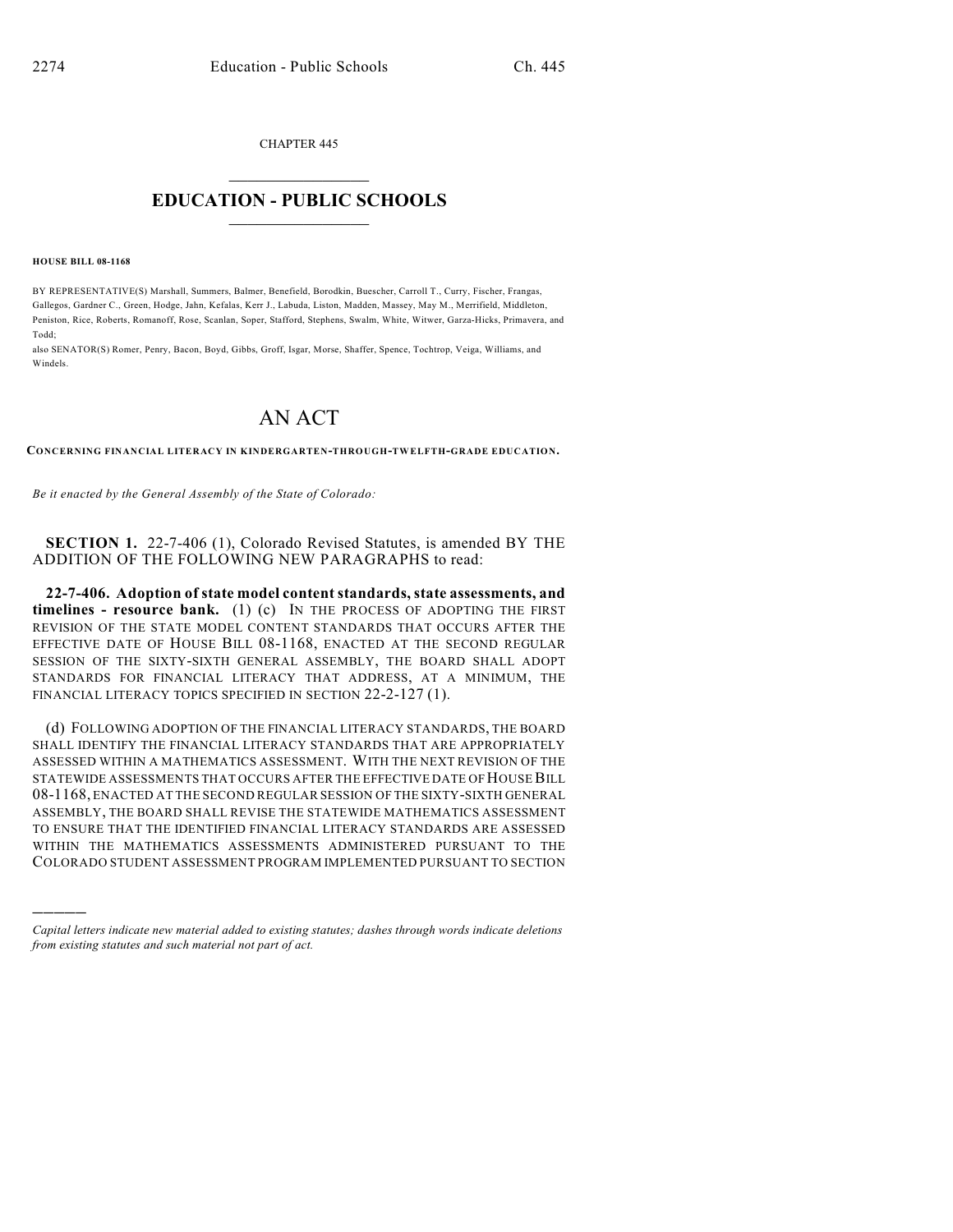CHAPTER 445

## $\overline{\phantom{a}}$  . The set of the set of the set of the set of the set of the set of the set of the set of the set of the set of the set of the set of the set of the set of the set of the set of the set of the set of the set o **EDUCATION - PUBLIC SCHOOLS**  $\_$   $\_$   $\_$   $\_$   $\_$   $\_$   $\_$   $\_$   $\_$

**HOUSE BILL 08-1168**

)))))

BY REPRESENTATIVE(S) Marshall, Summers, Balmer, Benefield, Borodkin, Buescher, Carroll T., Curry, Fischer, Frangas, Gallegos, Gardner C., Green, Hodge, Jahn, Kefalas, Kerr J., Labuda, Liston, Madden, Massey, May M., Merrifield, Middleton, Peniston, Rice, Roberts, Romanoff, Rose, Scanlan, Soper, Stafford, Stephens, Swalm, White, Witwer, Garza-Hicks, Primavera, and Todd;

also SENATOR(S) Romer, Penry, Bacon, Boyd, Gibbs, Groff, Isgar, Morse, Shaffer, Spence, Tochtrop, Veiga, Williams, and Windels.

## AN ACT

**CONCERNING FINANCIAL LITERACY IN KINDERGARTEN-THROUGH-TWELFTH-GRADE EDUCATION.**

*Be it enacted by the General Assembly of the State of Colorado:*

**SECTION 1.** 22-7-406 (1), Colorado Revised Statutes, is amended BY THE ADDITION OF THE FOLLOWING NEW PARAGRAPHS to read:

**22-7-406. Adoption of state model content standards, state assessments, and timelines - resource bank.** (1) (c) IN THE PROCESS OF ADOPTING THE FIRST REVISION OF THE STATE MODEL CONTENT STANDARDS THAT OCCURS AFTER THE EFFECTIVE DATE OF HOUSE BILL 08-1168, ENACTED AT THE SECOND REGULAR SESSION OF THE SIXTY-SIXTH GENERAL ASSEMBLY, THE BOARD SHALL ADOPT STANDARDS FOR FINANCIAL LITERACY THAT ADDRESS, AT A MINIMUM, THE FINANCIAL LITERACY TOPICS SPECIFIED IN SECTION 22-2-127 (1).

(d) FOLLOWING ADOPTION OF THE FINANCIAL LITERACY STANDARDS, THE BOARD SHALL IDENTIFY THE FINANCIAL LITERACY STANDARDS THAT ARE APPROPRIATELY ASSESSED WITHIN A MATHEMATICS ASSESSMENT. WITH THE NEXT REVISION OF THE STATEWIDE ASSESSMENTS THAT OCCURS AFTER THE EFFECTIVE DATE OF HOUSE BILL 08-1168, ENACTED AT THE SECOND REGULAR SESSION OF THE SIXTY-SIXTH GENERAL ASSEMBLY, THE BOARD SHALL REVISE THE STATEWIDE MATHEMATICS ASSESSMENT TO ENSURE THAT THE IDENTIFIED FINANCIAL LITERACY STANDARDS ARE ASSESSED WITHIN THE MATHEMATICS ASSESSMENTS ADMINISTERED PURSUANT TO THE COLORADO STUDENT ASSESSMENT PROGRAM IMPLEMENTED PURSUANT TO SECTION

*Capital letters indicate new material added to existing statutes; dashes through words indicate deletions from existing statutes and such material not part of act.*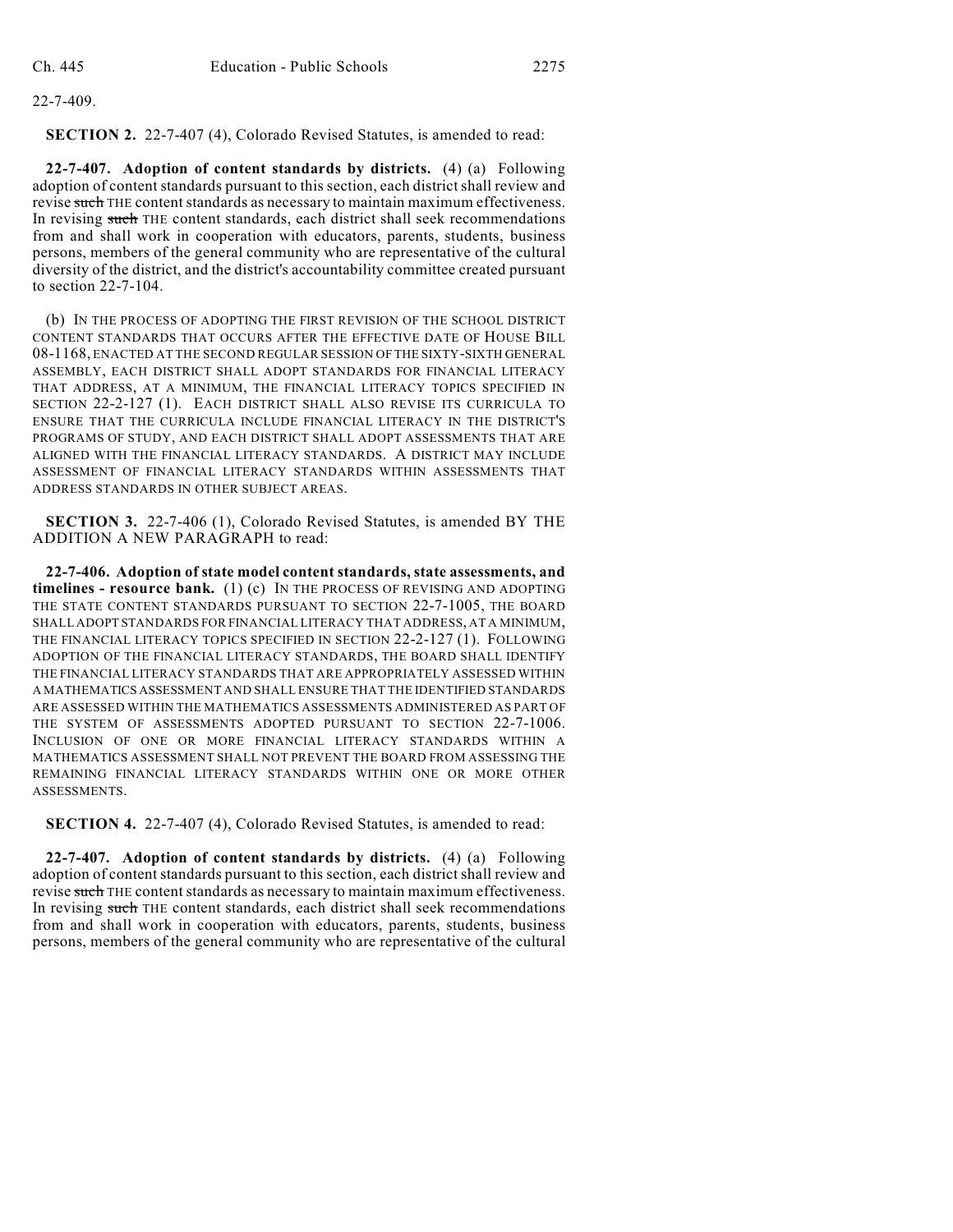22-7-409.

**SECTION 2.** 22-7-407 (4), Colorado Revised Statutes, is amended to read:

**22-7-407. Adoption of content standards by districts.** (4) (a) Following adoption of content standards pursuant to this section, each district shall review and revise such THE content standards as necessary to maintain maximum effectiveness. In revising such THE content standards, each district shall seek recommendations from and shall work in cooperation with educators, parents, students, business persons, members of the general community who are representative of the cultural diversity of the district, and the district's accountability committee created pursuant to section 22-7-104.

(b) IN THE PROCESS OF ADOPTING THE FIRST REVISION OF THE SCHOOL DISTRICT CONTENT STANDARDS THAT OCCURS AFTER THE EFFECTIVE DATE OF HOUSE BILL 08-1168, ENACTED AT THE SECOND REGULAR SESSION OF THE SIXTY-SIXTH GENERAL ASSEMBLY, EACH DISTRICT SHALL ADOPT STANDARDS FOR FINANCIAL LITERACY THAT ADDRESS, AT A MINIMUM, THE FINANCIAL LITERACY TOPICS SPECIFIED IN SECTION 22-2-127 (1). EACH DISTRICT SHALL ALSO REVISE ITS CURRICULA TO ENSURE THAT THE CURRICULA INCLUDE FINANCIAL LITERACY IN THE DISTRICT'S PROGRAMS OF STUDY, AND EACH DISTRICT SHALL ADOPT ASSESSMENTS THAT ARE ALIGNED WITH THE FINANCIAL LITERACY STANDARDS. A DISTRICT MAY INCLUDE ASSESSMENT OF FINANCIAL LITERACY STANDARDS WITHIN ASSESSMENTS THAT ADDRESS STANDARDS IN OTHER SUBJECT AREAS.

**SECTION 3.** 22-7-406 (1), Colorado Revised Statutes, is amended BY THE ADDITION A NEW PARAGRAPH to read:

**22-7-406. Adoption of state model content standards, state assessments, and timelines - resource bank.** (1) (c) IN THE PROCESS OF REVISING AND ADOPTING THE STATE CONTENT STANDARDS PURSUANT TO SECTION 22-7-1005, THE BOARD SHALL ADOPT STANDARDS FOR FINANCIAL LITERACY THAT ADDRESS, AT A MINIMUM, THE FINANCIAL LITERACY TOPICS SPECIFIED IN SECTION 22-2-127 (1). FOLLOWING ADOPTION OF THE FINANCIAL LITERACY STANDARDS, THE BOARD SHALL IDENTIFY THE FINANCIAL LITERACY STANDARDS THAT ARE APPROPRIATELY ASSESSED WITHIN A MATHEMATICS ASSESSMENT AND SHALL ENSURE THAT THE IDENTIFIED STANDARDS ARE ASSESSED WITHIN THE MATHEMATICS ASSESSMENTS ADMINISTERED AS PART OF THE SYSTEM OF ASSESSMENTS ADOPTED PURSUANT TO SECTION 22-7-1006. INCLUSION OF ONE OR MORE FINANCIAL LITERACY STANDARDS WITHIN A MATHEMATICS ASSESSMENT SHALL NOT PREVENT THE BOARD FROM ASSESSING THE REMAINING FINANCIAL LITERACY STANDARDS WITHIN ONE OR MORE OTHER ASSESSMENTS.

**SECTION 4.** 22-7-407 (4), Colorado Revised Statutes, is amended to read:

**22-7-407. Adoption of content standards by districts.** (4) (a) Following adoption of contentstandards pursuant to this section, each district shall review and revise such THE content standards as necessary to maintain maximum effectiveness. In revising such THE content standards, each district shall seek recommendations from and shall work in cooperation with educators, parents, students, business persons, members of the general community who are representative of the cultural